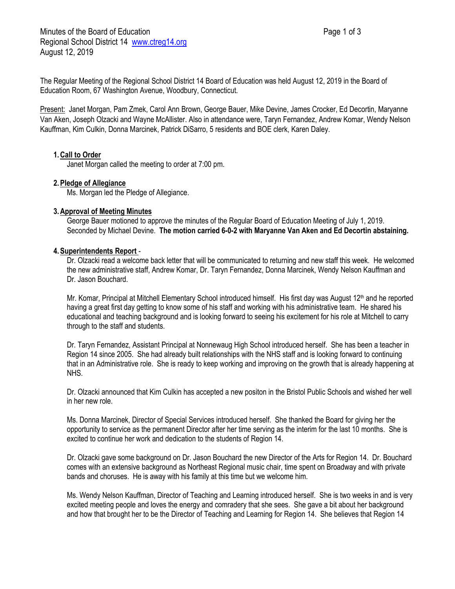Minutes of the Board of Education **Page 1 of 3** Page 1 of 3 Regional School District 14 [www.ctreg14.org](http://www.ctreg14.org/) August 12, 2019

The Regular Meeting of the Regional School District 14 Board of Education was held August 12, 2019 in the Board of Education Room, 67 Washington Avenue, Woodbury, Connecticut.

Present: Janet Morgan, Pam Zmek, Carol Ann Brown, George Bauer, Mike Devine, James Crocker, Ed Decortin, Maryanne Van Aken, Joseph Olzacki and Wayne McAllister. Also in attendance were, Taryn Fernandez, Andrew Komar, Wendy Nelson Kauffman, Kim Culkin, Donna Marcinek, Patrick DiSarro, 5 residents and BOE clerk, Karen Daley.

### **1.Call to Order**

Janet Morgan called the meeting to order at 7:00 pm.

### **2.Pledge of Allegiance**

Ms. Morgan led the Pledge of Allegiance.

### **3.Approval of Meeting Minutes**

George Bauer motioned to approve the minutes of the Regular Board of Education Meeting of July 1, 2019. Seconded by Michael Devine. **The motion carried 6-0-2 with Maryanne Van Aken and Ed Decortin abstaining.**

### **4.Superintendents Report** -

Dr. Olzacki read a welcome back letter that will be communicated to returning and new staff this week. He welcomed the new administrative staff, Andrew Komar, Dr. Taryn Fernandez, Donna Marcinek, Wendy Nelson Kauffman and Dr. Jason Bouchard.

Mr. Komar, Principal at Mitchell Elementary School introduced himself. His first day was August 12<sup>th</sup> and he reported having a great first day getting to know some of his staff and working with his administrative team. He shared his educational and teaching background and is looking forward to seeing his excitement for his role at Mitchell to carry through to the staff and students.

Dr. Taryn Fernandez, Assistant Principal at Nonnewaug High School introduced herself. She has been a teacher in Region 14 since 2005. She had already built relationships with the NHS staff and is looking forward to continuing that in an Administrative role. She is ready to keep working and improving on the growth that is already happening at NHS.

Dr. Olzacki announced that Kim Culkin has accepted a new positon in the Bristol Public Schools and wished her well in her new role.

Ms. Donna Marcinek, Director of Special Services introduced herself. She thanked the Board for giving her the opportunity to service as the permanent Director after her time serving as the interim for the last 10 months. She is excited to continue her work and dedication to the students of Region 14.

Dr. Olzacki gave some background on Dr. Jason Bouchard the new Director of the Arts for Region 14. Dr. Bouchard comes with an extensive background as Northeast Regional music chair, time spent on Broadway and with private bands and choruses. He is away with his family at this time but we welcome him.

Ms. Wendy Nelson Kauffman, Director of Teaching and Learning introduced herself. She is two weeks in and is very excited meeting people and loves the energy and comradery that she sees. She gave a bit about her background and how that brought her to be the Director of Teaching and Learning for Region 14. She believes that Region 14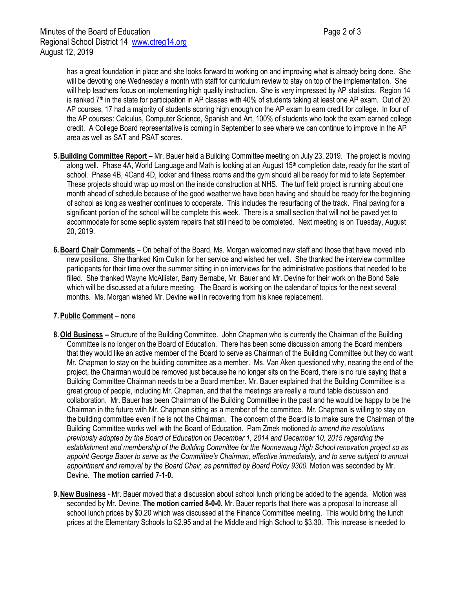has a great foundation in place and she looks forward to working on and improving what is already being done. She will be devoting one Wednesday a month with staff for curriculum review to stay on top of the implementation. She will help teachers focus on implementing high quality instruction. She is very impressed by AP statistics. Region 14 is ranked  $7<sup>th</sup>$  in the state for participation in AP classes with 40% of students taking at least one AP exam. Out of 20 AP courses, 17 had a majority of students scoring high enough on the AP exam to earn credit for college. In four of the AP courses: Calculus, Computer Science, Spanish and Art, 100% of students who took the exam earned college credit. A College Board representative is coming in September to see where we can continue to improve in the AP area as well as SAT and PSAT scores.

- **5.Building Committee Report** Mr. Bauer held a Building Committee meeting on July 23, 2019. The project is moving along well. Phase 4A, World Language and Math is looking at an August  $15<sup>th</sup>$  completion date, ready for the start of school. Phase 4B, 4Cand 4D, locker and fitness rooms and the gym should all be ready for mid to late September. These projects should wrap up most on the inside construction at NHS. The turf field project is running about one month ahead of schedule because of the good weather we have been having and should be ready for the beginning of school as long as weather continues to cooperate. This includes the resurfacing of the track. Final paving for a significant portion of the school will be complete this week. There is a small section that will not be paved yet to accommodate for some septic system repairs that still need to be completed. Next meeting is on Tuesday, August 20, 2019.
- **6.Board Chair Comments** On behalf of the Board, Ms. Morgan welcomed new staff and those that have moved into new positions. She thanked Kim Culkin for her service and wished her well. She thanked the interview committee participants for their time over the summer sitting in on interviews for the administrative positions that needed to be filled. She thanked Wayne McAllister, Barry Bernabe, Mr. Bauer and Mr. Devine for their work on the Bond Sale which will be discussed at a future meeting. The Board is working on the calendar of topics for the next several months. Ms. Morgan wished Mr. Devine well in recovering from his knee replacement.

# **7.Public Comment** – none

- **8.Old Business –** Structure of the Building Committee. John Chapman who is currently the Chairman of the Building Committee is no longer on the Board of Education. There has been some discussion among the Board members that they would like an active member of the Board to serve as Chairman of the Building Committee but they do want Mr. Chapman to stay on the building committee as a member. Ms. Van Aken questioned why, nearing the end of the project, the Chairman would be removed just because he no longer sits on the Board, there is no rule saying that a Building Committee Chairman needs to be a Board member. Mr. Bauer explained that the Building Committee is a great group of people, including Mr. Chapman, and that the meetings are really a round table discussion and collaboration. Mr. Bauer has been Chairman of the Building Committee in the past and he would be happy to be the Chairman in the future with Mr. Chapman sitting as a member of the committee. Mr. Chapman is willing to stay on the building committee even if he is not the Chairman. The concern of the Board is to make sure the Chairman of the Building Committee works well with the Board of Education. Pam Zmek motioned *to amend the resolutions previously adopted by the Board of Education on December 1, 2014 and December 10, 2015 regarding the establishment and membership of the Building Committee for the Nonnewaug High School renovation project so as appoint George Bauer to serve as the Committee's Chairman, effective immediately, and to serve subject to annual appointment and removal by the Board Chair, as permitted by Board Policy 9300.* Motion was seconded by Mr. Devine. **The motion carried 7-1-0.**
- **9.New Business** Mr. Bauer moved that a discussion about school lunch pricing be added to the agenda. Motion was seconded by Mr. Devine. **The motion carried 8-0-0.** Mr. Bauer reports that there was a proposal to increase all school lunch prices by \$0.20 which was discussed at the Finance Committee meeting. This would bring the lunch prices at the Elementary Schools to \$2.95 and at the Middle and High School to \$3.30. This increase is needed to